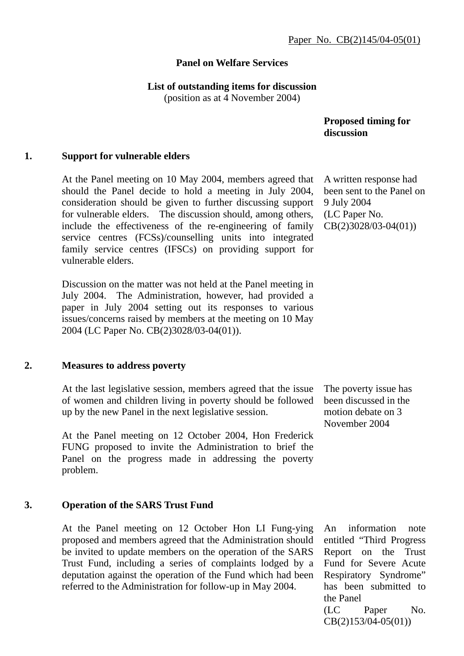#### **Panel on Welfare Services**

#### **List of outstanding items for discussion**

(position as at 4 November 2004)

 **Proposed timing for discussion** 

#### **1. Support for vulnerable elders**

At the Panel meeting on 10 May 2004, members agreed that should the Panel decide to hold a meeting in July 2004, consideration should be given to further discussing support for vulnerable elders. The discussion should, among others, include the effectiveness of the re-engineering of family service centres (FCSs)/counselling units into integrated family service centres (IFSCs) on providing support for vulnerable elders.

Discussion on the matter was not held at the Panel meeting in July 2004. The Administration, however, had provided a paper in July 2004 setting out its responses to various issues/concerns raised by members at the meeting on 10 May 2004 (LC Paper No. CB(2)3028/03-04(01)).

#### **2. Measures to address poverty**

At the last legislative session, members agreed that the issue of women and children living in poverty should be followed up by the new Panel in the next legislative session.

At the Panel meeting on 12 October 2004, Hon Frederick FUNG proposed to invite the Administration to brief the Panel on the progress made in addressing the poverty problem.

#### **3. Operation of the SARS Trust Fund**

At the Panel meeting on 12 October Hon LI Fung-ying proposed and members agreed that the Administration should be invited to update members on the operation of the SARS Trust Fund, including a series of complaints lodged by a deputation against the operation of the Fund which had been referred to the Administration for follow-up in May 2004.

A written response had been sent to the Panel on 9 July 2004 (LC Paper No. CB(2)3028/03-04(01))

The poverty issue has been discussed in the motion debate on 3 November 2004

An information note entitled "Third Progress Report on the Trust Fund for Severe Acute Respiratory Syndrome" has been submitted to the Panel (LC Paper No. CB(2)153/04-05(01))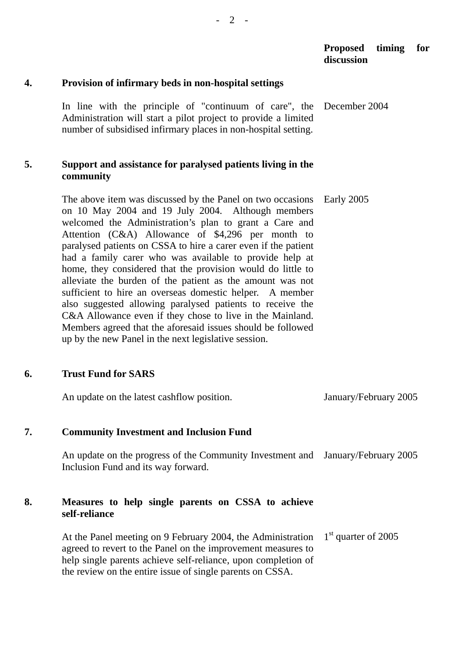## **Proposed timing for discussion**

## **4. Provision of infirmary beds in non-hospital settings**

In line with the principle of "continuum of care", the Administration will start a pilot project to provide a limited number of subsidised infirmary places in non-hospital setting. December 2004

## **5. Support and assistance for paralysed patients living in the community**

The above item was discussed by the Panel on two occasions on 10 May 2004 and 19 July 2004. Although members welcomed the Administration's plan to grant a Care and Attention (C&A) Allowance of \$4,296 per month to paralysed patients on CSSA to hire a carer even if the patient had a family carer who was available to provide help at home, they considered that the provision would do little to alleviate the burden of the patient as the amount was not sufficient to hire an overseas domestic helper. A member also suggested allowing paralysed patients to receive the C&A Allowance even if they chose to live in the Mainland. Members agreed that the aforesaid issues should be followed up by the new Panel in the next legislative session. Early 2005

# **6. Trust Fund for SARS**

|    | An update on the latest cashflow position.                                                                                                                                                                                                                                                                                                                                            | January/February 2005 |
|----|---------------------------------------------------------------------------------------------------------------------------------------------------------------------------------------------------------------------------------------------------------------------------------------------------------------------------------------------------------------------------------------|-----------------------|
| 7. | <b>Community Investment and Inclusion Fund</b>                                                                                                                                                                                                                                                                                                                                        |                       |
|    | An update on the progress of the Community Investment and January/February 2005<br>Inclusion Fund and its way forward.                                                                                                                                                                                                                                                                |                       |
| 8. | Measures to help single parents on CSSA to achieve<br>self-reliance                                                                                                                                                                                                                                                                                                                   |                       |
|    | At the Panel meeting on 9 February 2004, the Administration $1st$ quarter of 2005<br>$\mathbf{1}$ and $\mathbf{1}$ and $\mathbf{1}$ and $\mathbf{1}$ and $\mathbf{1}$ and $\mathbf{1}$ and $\mathbf{1}$ and $\mathbf{1}$ and $\mathbf{1}$ and $\mathbf{1}$ and $\mathbf{1}$ and $\mathbf{1}$ and $\mathbf{1}$ and $\mathbf{1}$ and $\mathbf{1}$ and $\mathbf{1}$ and $\mathbf{1}$ and |                       |

agreed to revert to the Panel on the improvement measures to help single parents achieve self-reliance, upon completion of the review on the entire issue of single parents on CSSA.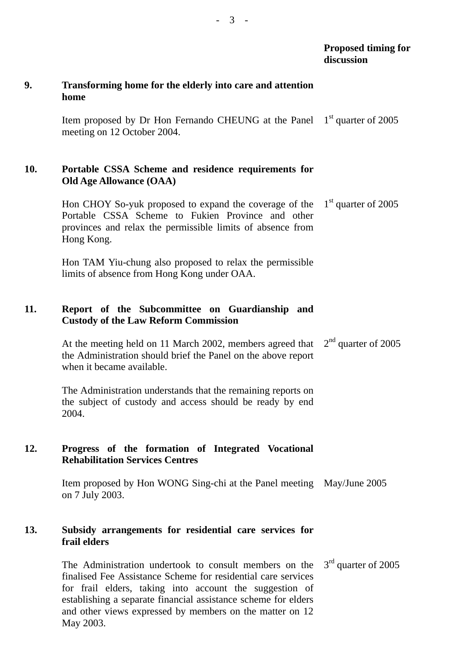# **Proposed timing for discussion 9. Transforming home for the elderly into care and attention**  Item proposed by Dr Hon Fernando CHEUNG at the Panel meeting on 12 October 2004. 1<sup>st</sup> quarter of 2005 **10. Portable CSSA Scheme and residence requirements for Old Age Allowance (OAA)**  Hon CHOY So-yuk proposed to expand the coverage of the Portable CSSA Scheme to Fukien Province and other provinces and relax the permissible limits of absence from Hon TAM Yiu-chung also proposed to relax the permissible limits of absence from Hong Kong under OAA. 1<sup>st</sup> quarter of 2005 **11. Report of the Subcommittee on Guardianship and Custody of the Law Reform Commission**  At the meeting held on 11 March 2002, members agreed that the Administration should brief the Panel on the above report when it became available. The Administration understands that the remaining reports on the subject of custody and access should be ready by end  $2<sup>nd</sup>$  quarter of 2005 **12. Progress of the formation of Integrated Vocational Rehabilitation Services Centres**  Item proposed by Hon WONG Sing-chi at the Panel meeting May/June 2005 on 7 July 2003.

#### **13. Subsidy arrangements for residential care services for frail elders**

The Administration undertook to consult members on the finalised Fee Assistance Scheme for residential care services for frail elders, taking into account the suggestion of establishing a separate financial assistance scheme for elders and other views expressed by members on the matter on 12 May 2003. 3<sup>rd</sup> quarter of 2005

**home** 

Hong Kong.

2004.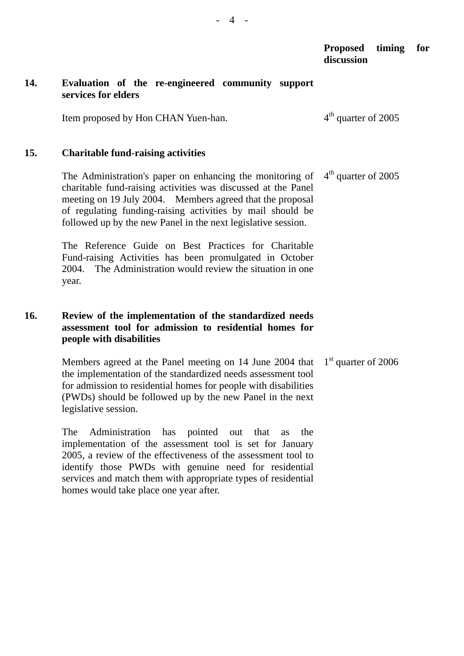#### **Proposed timing for discussion**

#### **14. Evaluation of the re-engineered community support services for elders**

Item proposed by Hon CHAN Yuen-han.  $4<sup>th</sup>$  quarter of 2005

#### **15. Charitable fund-raising activities**

The Administration's paper on enhancing the monitoring of charitable fund-raising activities was discussed at the Panel meeting on 19 July 2004. Members agreed that the proposal of regulating funding-raising activities by mail should be followed up by the new Panel in the next legislative session.  $4<sup>th</sup>$  quarter of 2005

The Reference Guide on Best Practices for Charitable Fund-raising Activities has been promulgated in October 2004. The Administration would review the situation in one year.

### **16. Review of the implementation of the standardized needs assessment tool for admission to residential homes for people with disabilities**

Members agreed at the Panel meeting on 14 June 2004 that the implementation of the standardized needs assessment tool for admission to residential homes for people with disabilities (PWDs) should be followed up by the new Panel in the next legislative session. 1<sup>st</sup> quarter of 2006

The Administration has pointed out that as the implementation of the assessment tool is set for January 2005, a review of the effectiveness of the assessment tool to identify those PWDs with genuine need for residential services and match them with appropriate types of residential homes would take place one year after.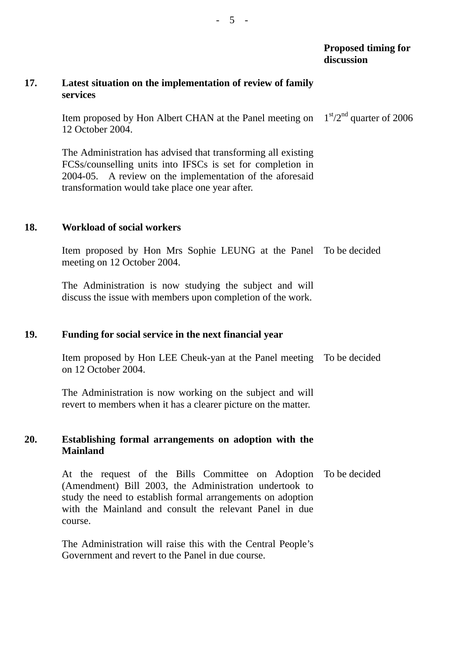#### **Proposed timing for discussion**

#### **17. Latest situation on the implementation of review of family services**

Item proposed by Hon Albert CHAN at the Panel meeting on 12 October 2004.  $1<sup>st</sup>/2<sup>nd</sup>$  quarter of 2006

The Administration has advised that transforming all existing FCSs/counselling units into IFSCs is set for completion in 2004-05. A review on the implementation of the aforesaid transformation would take place one year after.

#### **18. Workload of social workers**

Item proposed by Hon Mrs Sophie LEUNG at the Panel To be decided meeting on 12 October 2004.

The Administration is now studying the subject and will discuss the issue with members upon completion of the work.

#### **19. Funding for social service in the next financial year**

Item proposed by Hon LEE Cheuk-yan at the Panel meeting To be decided on 12 October 2004.

The Administration is now working on the subject and will revert to members when it has a clearer picture on the matter.

#### **20. Establishing formal arrangements on adoption with the Mainland**

At the request of the Bills Committee on Adoption (Amendment) Bill 2003, the Administration undertook to study the need to establish formal arrangements on adoption with the Mainland and consult the relevant Panel in due course. To be decided

The Administration will raise this with the Central People's Government and revert to the Panel in due course.